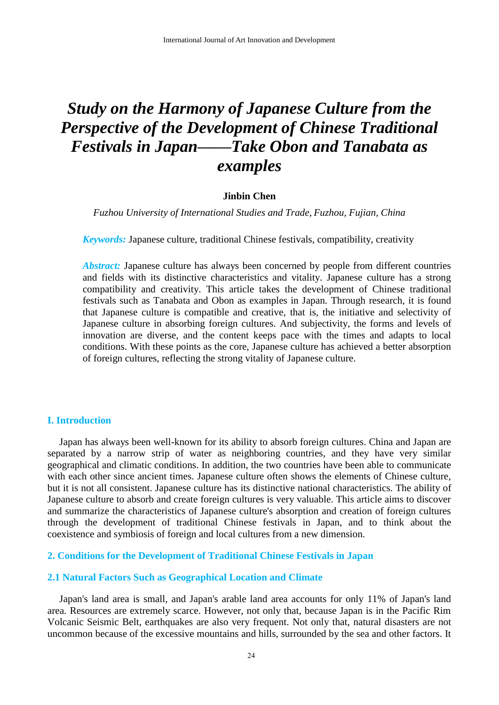# *Study on the Harmony of Japanese Culture from the Perspective of the Development of Chinese Traditional Festivals in Japan——Take Obon and Tanabata as examples*

## **Jinbin Chen**

*Fuzhou University of International Studies and Trade, Fuzhou, Fujian, China* 

*Keywords:* Japanese culture, traditional Chinese festivals, compatibility, creativity

*Abstract:* Japanese culture has always been concerned by people from different countries and fields with its distinctive characteristics and vitality. Japanese culture has a strong compatibility and creativity. This article takes the development of Chinese traditional festivals such as Tanabata and Obon as examples in Japan. Through research, it is found that Japanese culture is compatible and creative, that is, the initiative and selectivity of Japanese culture in absorbing foreign cultures. And subjectivity, the forms and levels of innovation are diverse, and the content keeps pace with the times and adapts to local conditions. With these points as the core, Japanese culture has achieved a better absorption of foreign cultures, reflecting the strong vitality of Japanese culture.

## **I. Introduction**

Japan has always been well-known for its ability to absorb foreign cultures. China and Japan are separated by a narrow strip of water as neighboring countries, and they have very similar geographical and climatic conditions. In addition, the two countries have been able to communicate with each other since ancient times. Japanese culture often shows the elements of Chinese culture, but it is not all consistent. Japanese culture has its distinctive national characteristics. The ability of Japanese culture to absorb and create foreign cultures is very valuable. This article aims to discover and summarize the characteristics of Japanese culture's absorption and creation of foreign cultures through the development of traditional Chinese festivals in Japan, and to think about the coexistence and symbiosis of foreign and local cultures from a new dimension.

# **2. Conditions for the Development of Traditional Chinese Festivals in Japan**

## **2.1 Natural Factors Such as Geographical Location and Climate**

Japan's land area is small, and Japan's arable land area accounts for only 11% of Japan's land area. Resources are extremely scarce. However, not only that, because Japan is in the Pacific Rim Volcanic Seismic Belt, earthquakes are also very frequent. Not only that, natural disasters are not uncommon because of the excessive mountains and hills, surrounded by the sea and other factors. It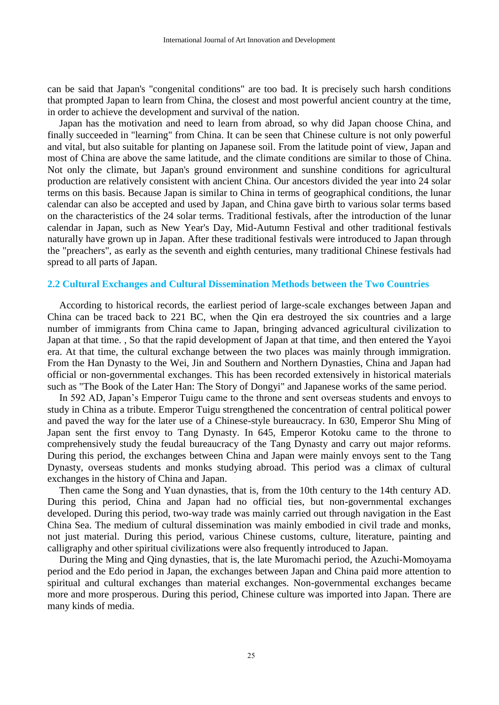can be said that Japan's "congenital conditions" are too bad. It is precisely such harsh conditions that prompted Japan to learn from China, the closest and most powerful ancient country at the time, in order to achieve the development and survival of the nation.

Japan has the motivation and need to learn from abroad, so why did Japan choose China, and finally succeeded in "learning" from China. It can be seen that Chinese culture is not only powerful and vital, but also suitable for planting on Japanese soil. From the latitude point of view, Japan and most of China are above the same latitude, and the climate conditions are similar to those of China. Not only the climate, but Japan's ground environment and sunshine conditions for agricultural production are relatively consistent with ancient China. Our ancestors divided the year into 24 solar terms on this basis. Because Japan is similar to China in terms of geographical conditions, the lunar calendar can also be accepted and used by Japan, and China gave birth to various solar terms based on the characteristics of the 24 solar terms. Traditional festivals, after the introduction of the lunar calendar in Japan, such as New Year's Day, Mid-Autumn Festival and other traditional festivals naturally have grown up in Japan. After these traditional festivals were introduced to Japan through the "preachers", as early as the seventh and eighth centuries, many traditional Chinese festivals had spread to all parts of Japan.

## **2.2 Cultural Exchanges and Cultural Dissemination Methods between the Two Countries**

According to historical records, the earliest period of large-scale exchanges between Japan and China can be traced back to 221 BC, when the Qin era destroyed the six countries and a large number of immigrants from China came to Japan, bringing advanced agricultural civilization to Japan at that time. , So that the rapid development of Japan at that time, and then entered the Yayoi era. At that time, the cultural exchange between the two places was mainly through immigration. From the Han Dynasty to the Wei, Jin and Southern and Northern Dynasties, China and Japan had official or non-governmental exchanges. This has been recorded extensively in historical materials such as "The Book of the Later Han: The Story of Dongyi" and Japanese works of the same period.

In 592 AD, Japan's Emperor Tuigu came to the throne and sent overseas students and envoys to study in China as a tribute. Emperor Tuigu strengthened the concentration of central political power and paved the way for the later use of a Chinese-style bureaucracy. In 630, Emperor Shu Ming of Japan sent the first envoy to Tang Dynasty. In 645, Emperor Kotoku came to the throne to comprehensively study the feudal bureaucracy of the Tang Dynasty and carry out major reforms. During this period, the exchanges between China and Japan were mainly envoys sent to the Tang Dynasty, overseas students and monks studying abroad. This period was a climax of cultural exchanges in the history of China and Japan.

Then came the Song and Yuan dynasties, that is, from the 10th century to the 14th century AD. During this period, China and Japan had no official ties, but non-governmental exchanges developed. During this period, two-way trade was mainly carried out through navigation in the East China Sea. The medium of cultural dissemination was mainly embodied in civil trade and monks, not just material. During this period, various Chinese customs, culture, literature, painting and calligraphy and other spiritual civilizations were also frequently introduced to Japan.

During the Ming and Qing dynasties, that is, the late Muromachi period, the Azuchi-Momoyama period and the Edo period in Japan, the exchanges between Japan and China paid more attention to spiritual and cultural exchanges than material exchanges. Non-governmental exchanges became more and more prosperous. During this period, Chinese culture was imported into Japan. There are many kinds of media.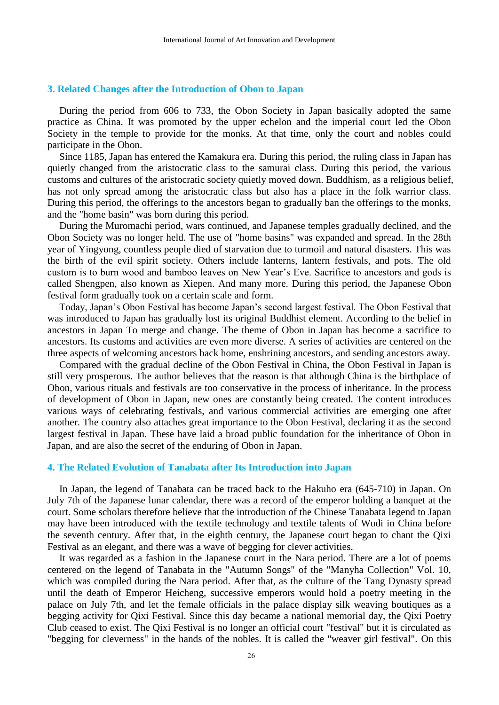## **3. Related Changes after the Introduction of Obon to Japan**

During the period from 606 to 733, the Obon Society in Japan basically adopted the same practice as China. It was promoted by the upper echelon and the imperial court led the Obon Society in the temple to provide for the monks. At that time, only the court and nobles could participate in the Obon.

Since 1185, Japan has entered the Kamakura era. During this period, the ruling class in Japan has quietly changed from the aristocratic class to the samurai class. During this period, the various customs and cultures of the aristocratic society quietly moved down. Buddhism, as a religious belief, has not only spread among the aristocratic class but also has a place in the folk warrior class. During this period, the offerings to the ancestors began to gradually ban the offerings to the monks, and the "home basin" was born during this period.

During the Muromachi period, wars continued, and Japanese temples gradually declined, and the Obon Society was no longer held. The use of "home basins" was expanded and spread. In the 28th year of Yingyong, countless people died of starvation due to turmoil and natural disasters. This was the birth of the evil spirit society. Others include lanterns, lantern festivals, and pots. The old custom is to burn wood and bamboo leaves on New Year's Eve. Sacrifice to ancestors and gods is called Shengpen, also known as Xiepen. And many more. During this period, the Japanese Obon festival form gradually took on a certain scale and form.

Today, Japan's Obon Festival has become Japan's second largest festival. The Obon Festival that was introduced to Japan has gradually lost its original Buddhist element. According to the belief in ancestors in Japan To merge and change. The theme of Obon in Japan has become a sacrifice to ancestors. Its customs and activities are even more diverse. A series of activities are centered on the three aspects of welcoming ancestors back home, enshrining ancestors, and sending ancestors away.

Compared with the gradual decline of the Obon Festival in China, the Obon Festival in Japan is still very prosperous. The author believes that the reason is that although China is the birthplace of Obon, various rituals and festivals are too conservative in the process of inheritance. In the process of development of Obon in Japan, new ones are constantly being created. The content introduces various ways of celebrating festivals, and various commercial activities are emerging one after another. The country also attaches great importance to the Obon Festival, declaring it as the second largest festival in Japan. These have laid a broad public foundation for the inheritance of Obon in Japan, and are also the secret of the enduring of Obon in Japan.

#### **4. The Related Evolution of Tanabata after Its Introduction into Japan**

In Japan, the legend of Tanabata can be traced back to the Hakuho era (645-710) in Japan. On July 7th of the Japanese lunar calendar, there was a record of the emperor holding a banquet at the court. Some scholars therefore believe that the introduction of the Chinese Tanabata legend to Japan may have been introduced with the textile technology and textile talents of Wudi in China before the seventh century. After that, in the eighth century, the Japanese court began to chant the Qixi Festival as an elegant, and there was a wave of begging for clever activities.

It was regarded as a fashion in the Japanese court in the Nara period. There are a lot of poems centered on the legend of Tanabata in the "Autumn Songs" of the "Manyha Collection" Vol. 10, which was compiled during the Nara period. After that, as the culture of the Tang Dynasty spread until the death of Emperor Heicheng, successive emperors would hold a poetry meeting in the palace on July 7th, and let the female officials in the palace display silk weaving boutiques as a begging activity for Qixi Festival. Since this day became a national memorial day, the Qixi Poetry Club ceased to exist. The Qixi Festival is no longer an official court "festival" but it is circulated as "begging for cleverness" in the hands of the nobles. It is called the "weaver girl festival". On this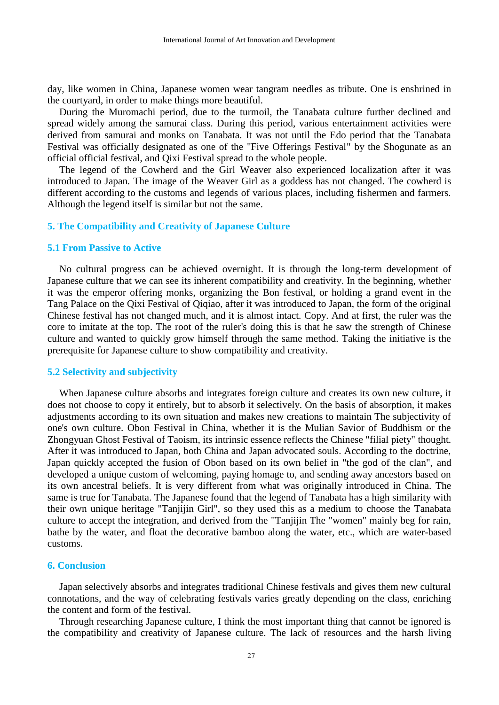day, like women in China, Japanese women wear tangram needles as tribute. One is enshrined in the courtyard, in order to make things more beautiful.

During the Muromachi period, due to the turmoil, the Tanabata culture further declined and spread widely among the samurai class. During this period, various entertainment activities were derived from samurai and monks on Tanabata. It was not until the Edo period that the Tanabata Festival was officially designated as one of the "Five Offerings Festival" by the Shogunate as an official official festival, and Qixi Festival spread to the whole people.

The legend of the Cowherd and the Girl Weaver also experienced localization after it was introduced to Japan. The image of the Weaver Girl as a goddess has not changed. The cowherd is different according to the customs and legends of various places, including fishermen and farmers. Although the legend itself is similar but not the same.

## **5. The Compatibility and Creativity of Japanese Culture**

## **5.1 From Passive to Active**

No cultural progress can be achieved overnight. It is through the long-term development of Japanese culture that we can see its inherent compatibility and creativity. In the beginning, whether it was the emperor offering monks, organizing the Bon festival, or holding a grand event in the Tang Palace on the Qixi Festival of Qiqiao, after it was introduced to Japan, the form of the original Chinese festival has not changed much, and it is almost intact. Copy. And at first, the ruler was the core to imitate at the top. The root of the ruler's doing this is that he saw the strength of Chinese culture and wanted to quickly grow himself through the same method. Taking the initiative is the prerequisite for Japanese culture to show compatibility and creativity.

#### **5.2 Selectivity and subjectivity**

When Japanese culture absorbs and integrates foreign culture and creates its own new culture, it does not choose to copy it entirely, but to absorb it selectively. On the basis of absorption, it makes adjustments according to its own situation and makes new creations to maintain The subjectivity of one's own culture. Obon Festival in China, whether it is the Mulian Savior of Buddhism or the Zhongyuan Ghost Festival of Taoism, its intrinsic essence reflects the Chinese "filial piety" thought. After it was introduced to Japan, both China and Japan advocated souls. According to the doctrine, Japan quickly accepted the fusion of Obon based on its own belief in "the god of the clan", and developed a unique custom of welcoming, paying homage to, and sending away ancestors based on its own ancestral beliefs. It is very different from what was originally introduced in China. The same is true for Tanabata. The Japanese found that the legend of Tanabata has a high similarity with their own unique heritage "Tanjijin Girl", so they used this as a medium to choose the Tanabata culture to accept the integration, and derived from the "Tanjijin The "women" mainly beg for rain, bathe by the water, and float the decorative bamboo along the water, etc., which are water-based customs.

# **6. Conclusion**

Japan selectively absorbs and integrates traditional Chinese festivals and gives them new cultural connotations, and the way of celebrating festivals varies greatly depending on the class, enriching the content and form of the festival.

Through researching Japanese culture, I think the most important thing that cannot be ignored is the compatibility and creativity of Japanese culture. The lack of resources and the harsh living